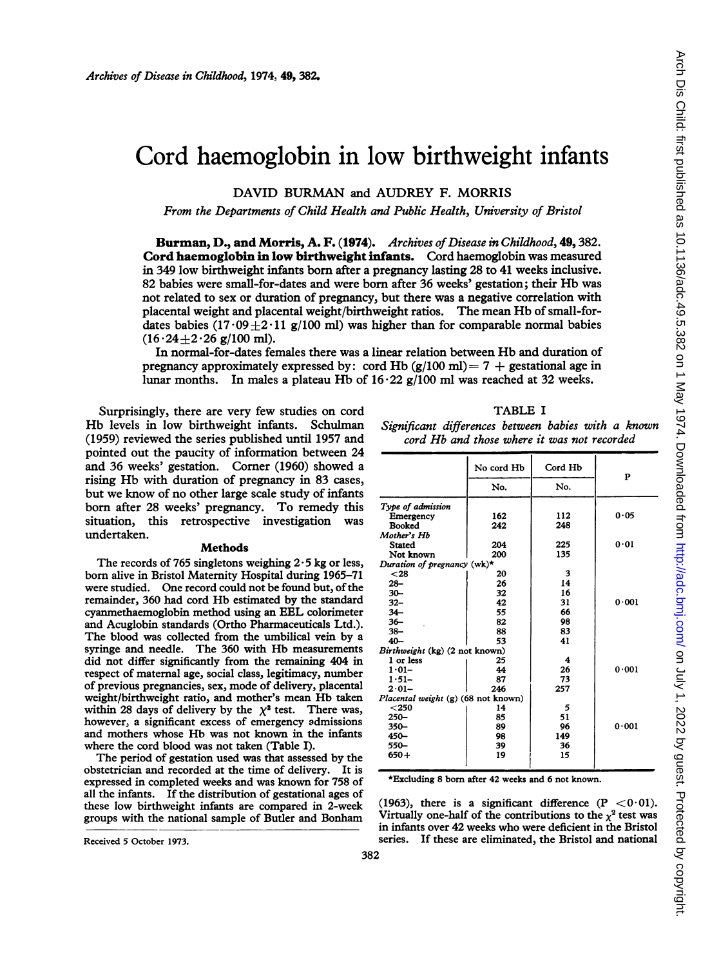# Cord haemoglobin in low birthweight infants

DAVID BURMAN and AUDREY F. MORRIS

From the Departments of Child Health and Public Health, University of Bristol

Burman, D., and Morris, A. F. (1974). Archives of Disease in Childhood, 49, 382. Cord haemoglobin in low birthweight infants. Cord haemoglobin was measured in 349 low birthweight infants born after a pregnancy lasting 28 to 41 weeks inclusive. 82 babies were small-for-dates and were born after 36 weeks' gestation; their Hb was not related to sex or duration of pregnancy, but there was a negative correlation with placental weight and placental weight/birthweight ratios. The mean Hb of small-fordates babies (17.09  $\pm$ 2.11 g/100 ml) was higher than for comparable normal babies  $(16.24 + 2.26$  g/100 ml).

In normal-for-dates females there was <sup>a</sup> linear relation between Hb and duration of pregnancy approximately expressed by: cord Hb  $(g/100 \text{ ml}) = 7 +$  gestational age in lunar months. In males a plateau Hb of  $16.22$  g/100 ml was reached at 32 weeks.

Surprisingly, there are very few studies on cord Hb levels in low birthweight infants. Schulman (1959) reviewed the series published until 1957 and pointed out the paucity of information between 24 and 36 weeks' gestation. Comer (1960) showed a rising Hb with duration of pregnancy in <sup>83</sup> cases, but we know of no other large scale study of infants bom after 28 weeks' pregnancy. To remedy this situation, this retrospective investigation was undertaken.

#### Methods

The records of 765 singletons weighing  $2 \cdot 5$  kg or less, born alive in Bristol Maternity Hospital during 1965-71 were studied. One record could not be found but, of the remainder, 360 had cord Hb estimated by the standard cyanmethaemoglobin method using an EEL colorimeter and Acuglobin standards (Ortho Pharmaceuticals Ltd.). The blood was collected from the umbilical vein by a syringe and needle. The 360 with Hb measurements did not differ significantly from the remaining 404 in respect of maternal age, social class, legitimacy, number of previous pregnancies, sex, mode of delivery, placental weight/birthweight ratio, and mother's mean Hb taken within 28 days of delivery by the  $\chi^2$  test. There was, however, a significant excess of emergency admissions and mothers whose Hb was not known in the infants where the cord blood was not taken (Table I).

The period of gestation used was that assessed by the obstetrician and recorded at the time of delivery. It is expressed in completed weeks and was known for 758 of all the infants. If the distribution of gestational ages of these low birthweight infants are compared in 2-week groups with the national sample of Butler and Bonham

TABLE <sup>I</sup> Significant differences between babies with a known cord Hb and those where it was not recorded

|                                     | No cord Hb | Cord Hb |       |
|-------------------------------------|------------|---------|-------|
|                                     | No.        | No.     | P     |
| Type of admission                   |            |         |       |
| Emergency                           | 162        | 112     | 0.05  |
| Booked                              | 242        | 248     |       |
| Mother's Hb                         |            |         |       |
| Stated                              | 204        | 225     | 0.01  |
| Not known                           | 200        | 135     |       |
| Duration of pregnancy (wk)*         |            |         |       |
| $28$                                | 20         | 3       |       |
| $28 -$                              | 26         | 14      |       |
| $30 -$                              | 32         | 16      |       |
| $32 -$                              | 42         | 31      | 0.001 |
| $34 -$                              | 55         | 66      |       |
| $36 -$                              | 82         | 98      |       |
| $38 -$                              | 88         | 83      |       |
| $40 -$                              | 53         | 41      |       |
| Birthweight (kg) (2 not known)      |            |         |       |
| 1 or less                           | 25         | 4       |       |
| $1.01 -$                            | 44         | 26      | 0.001 |
| $1.51 -$                            | 87         | 73      |       |
| $2.01 -$                            | 246        | 257     |       |
| Placental weight (g) (68 not known) |            |         |       |
| < 250                               | 14         | 5       |       |
| $250 -$                             | 85         | 51      |       |
| $350 -$                             | 89         | 96      | 0.001 |
| $450 -$                             | 98         | 149     |       |
| 550-                                | 39         | 36      |       |
| $650 +$                             | 19         | 15      |       |

\*Excluding 8 born after 42 weeks and 6 not known.

(1963), there is a significant difference  $(P < 0.01)$ . Virtually one-half of the contributions to the  $\chi^2$  test was in infants over 42 weeks who were deficient in the Bristol series. If these are eliminated, the Bristol and national

Received 5 October 1973.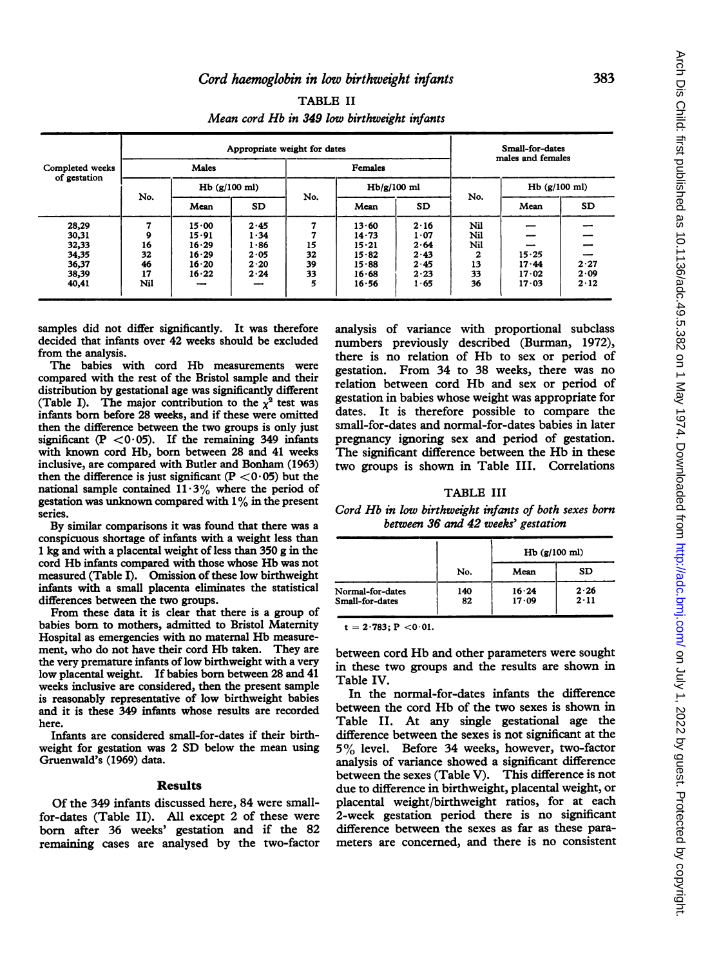|                                        |     | Appropriate weight for dates |      |               |         |           | Small-for-dates |                   |      |  |
|----------------------------------------|-----|------------------------------|------|---------------|---------|-----------|-----------------|-------------------|------|--|
| Completed weeks<br>of gestation<br>No. |     | Males                        |      |               | Females |           |                 | males and females |      |  |
|                                        |     | $Hb$ ( $g/100$ ml)           |      | $Hb/g/100$ ml |         |           |                 | $Hb$ (g/100 ml)   |      |  |
|                                        |     | Mean                         | SD.  | No.           | Mean    | <b>SD</b> | No.             | Mean              | SD   |  |
| 28,29                                  | 7   | $15 \cdot 00$                | 2.45 | 7             | 13.60   | 2.16      | Nil             |                   |      |  |
| 30,31                                  | 9   | 15.91                        | 1.34 | 7             | 14.73   | 1.07      | Nil             |                   |      |  |
| 32,33                                  | 16  | 16.29                        | 1.86 | 15            | 15.21   | 2.64      | Nil             |                   |      |  |
| 34,35                                  | 32  | 16.29                        | 2.05 | 32            | 15.82   | 2.43      | 2               | 15.25             |      |  |
| 36,37                                  | 46  | 16.20                        | 2.20 | 39            | 15.88   | 2.45      | 13              | 17.44             | 2.27 |  |
| 38,39                                  | 17  | 16.22                        | 2.24 | 33            | 16.68   | 2.23      | 33              | 17.02             | 2.09 |  |
| 40,41                                  | Nil |                              |      | 5             | 16.56   | 1.65      | 36              | 17.03             | 2.12 |  |

TABLE II Mean cord Hb in 349 low birthweight infants

samples did not differ significantly. It was therefore decided that infants over 42 weeks should be excluded from the analysis.

The babies with cord Hb measurements were compared with the rest of the Bristol sample and their distribution by gestational age was significantly different (Table I). The major contribution to the  $x^2$  test was infants born before 28 weeks, and if these were omitted then the difference between the two groups is only just significant (P  $<$  0.05). If the remaining 349 infants with known cord Hb, born between 28 and 41 weeks inclusive, are compared with Butler and Bonham (1963) then the difference is just significant ( $P < 0.05$ ) but the national sample contained  $11.3\%$  where the period of gestation was unknown compared with  $1\%$  in the present series.

By similar comparisons it was found that there was a conspicuous shortage of infants with a weight less than <sup>1</sup> kg and with a placental weight of less than 350 g in the cord Hb infants compared with those whose Hb was not measured (Table I). Omission of these low birthweight infants with a small placenta eliminates the statistical differences between the two groups.

From these data it is clear that there is a group of babies born to mothers, admitted to Bristol Maternity Hospital as emergencies with no maternal Hb measurement, who do not have their cord Hb taken. They are the very premature infants of low birthweight with a very low placental weight. If babies born between 28 and 41 weeks inclusive are considered, then the present sample is reasonably representative of low birthweight babies and it is these 349 infants whose results are recorded here.

Infants are considered small-for-dates if their birthweight for gestation was 2 SD below the mean using Gruenwald's (1969) data.

### Results

Of the 349 infants discussed here, 84 were smallfor-dates (Table II). All except 2 of these were bom after 36 weeks' gestation and if the 82 remaining cases are analysed by the two-factor

analysis of variance with proportional subclass numbers previously described (Burman, 1972), there is no relation of Hb to sex or period of gestation. From 34 to 38 weeks, there was no relation between cord Hb and sex or period of gestation in babies whose weight was appropriate for dates. It is therefore possible to compare the small-for-dates and normal-for-dates babies in later pregnancy ignoring sex and period of gestation. The significant difference between the Hb in these two groups is shown in Table III. Correlations

## TABLE III

Cord Hb in low birthweight infants of both sexes born between 36 and 42 weeks' gestation

|                  |     | $Hb$ (g/100 ml) |      |
|------------------|-----|-----------------|------|
|                  | No. | Mean            | SD   |
| Normal-for-dates | 140 | 16.24           | 2.26 |
| Small-for-dates  | 82  | 17.09           | 2.11 |

 $t = 2.783$ ; P < 0.01.

between cord Hb and other parameters were sought in these two groups and the results are shown in Table IV.

In the normal-for-dates infants the difference between the cord Hb of the two sexes is shown in Table II. At any single gestational age the difference between the sexes is not significant at the 5% level. Before <sup>34</sup> weeks, however, two-factor analysis of variance showed a significant difference between the sexes (Table V). This difference is not due to difference in birthweight, placental weight, or placental weight/birthweight ratios, for at each 2-week gestation period there is no significant difference between the sexes as far as these parameters are concerned, and there is no consistent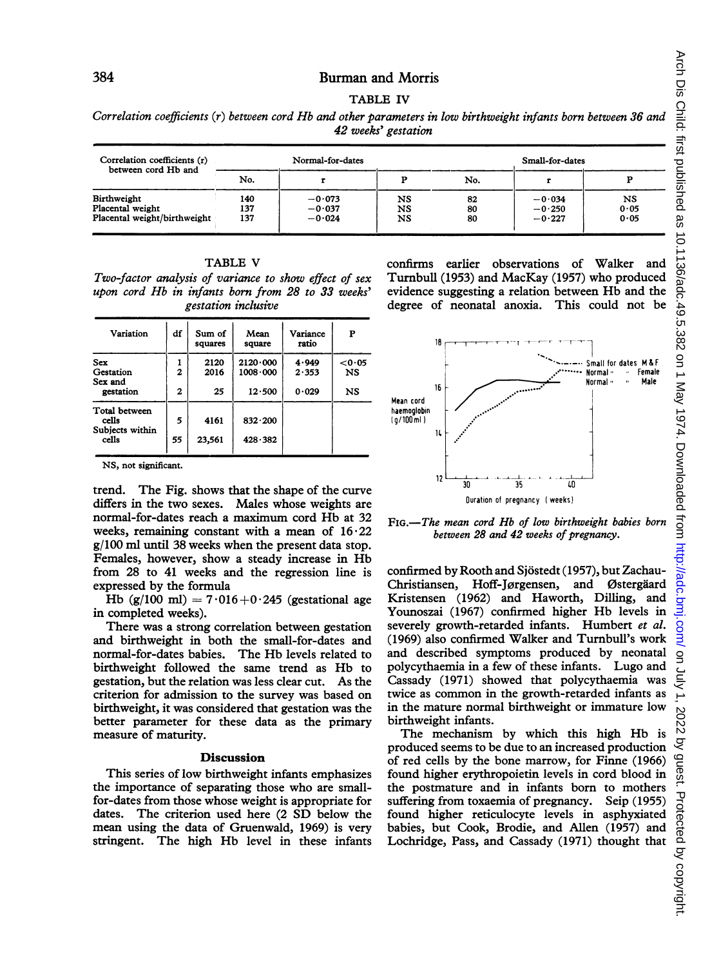## Burman and Morris

TABLE IV

Correlation coefficients (r) between cord Hb and other parameters in low birthweight infants born between 36 and 42 weeks' gestation

| Correlation coefficients (r)<br>between cord Hb and             |                   | Normal-for-dates                 |                |                | Small-for-dates                  |                    |
|-----------------------------------------------------------------|-------------------|----------------------------------|----------------|----------------|----------------------------------|--------------------|
|                                                                 | No.               |                                  |                | No.            |                                  |                    |
| Birthweight<br>Placental weight<br>Placental weight/birthweight | 140<br>137<br>137 | $-0.073$<br>$-0.037$<br>$-0.024$ | NS<br>NS<br>NS | 82<br>80<br>80 | $-0.034$<br>$-0.250$<br>$-0.227$ | NS<br>0.05<br>0.05 |

| TABLE V                                               |  |
|-------------------------------------------------------|--|
| Two-factor analysis of variance to show effect of sex |  |
| upon cord Hb in infants born from 28 to 33 weeks'     |  |
| gestation inclusive                                   |  |

TABLE V

| Variation                                 | df                | Sum of<br>squares | Mean<br>square                       | Variance<br>ratio | P                   |
|-------------------------------------------|-------------------|-------------------|--------------------------------------|-------------------|---------------------|
| Sex<br>Gestation<br>Sex and               | ı<br>$\mathbf{2}$ | 2120<br>2016      | $2120 \cdot 000$<br>$1008 \cdot 000$ | 4.949<br>2.353    | < 0.05<br><b>NS</b> |
| gestation                                 | $\mathbf{z}$      | 25                | 12.500                               | 0.029             | NS                  |
| Total between<br>cells<br>Subjects within | 5                 | 4161              | $832 \cdot 200$                      |                   |                     |
| cells                                     | 55                | 23,561            | 428.382                              |                   |                     |

NS, not significant.

trend. The Fig. shows that the shape of the curve differs in the two sexes. Males whose weights are normal-for-dates reach <sup>a</sup> maximum cord Hb at 32 weeks, remaining constant with a mean of  $16.22$ g/100 ml until 38 weeks when the present data stop. Females, however, show <sup>a</sup> steady increase in Hb from 28 to 41 weeks and the regression line is expressed by the formula

Hb (g/100 ml) =  $7.016+0.245$  (gestational age in completed weeks).

There was a strong correlation between gestation and birthweight in both the small-for-dates and normal-for-dates babies. The Hb levels related to birthweight followed the same trend as Hb to gestation, but the relation was less clear cut. As the criterion for admission to the survey was based on birthweight, it was considered that gestation was the better parameter for these data as the primary measure of maturity.

### **Discussion**

This series of low birthweight infants emphasizes the importance of separating those who are smallfor-dates from those whose weight is appropriate for dates. The criterion used here (2 SD below the mean using the data of Gruenwald, 1969) is very stringent. The high Hb level in these infants confirms earlier observations of Walker and Turnbull (1953) and MacKay (1957) who produced evidence suggesting <sup>a</sup> relation between Hb and the degree of neonatal anoxia. This could not be



FIG.-The mean cord Hb of low birthweight babies born between 28 and 42 weeks of pregnancy.

confirmed by Rooth and Sjostedt (1957), but Zachau-Christiansen, Hoff-Jørgensen, Kristensen (1962) and Haworth, Dilling, and Younoszai (1967) confirmed higher Hb levels in severely growth-retarded infants. Humbert et al. (1969) also confirmed Walker and Turnbull's work and described symptoms produced by neonatal polycythaemia in a few of these infants. Lugo and Cassady (1971) showed that polycythaemia was twice as common in the growth-retarded infants as in the mature normal birthweight or immature low birthweight infants.

The mechanism by which this high Hb is produced seems to be due to an increased production of red cells by the bone marrow, for Finne (1966) found higher erythropoietin levels in cord blood in the postmature and in infants born to mothers suffering from toxaemia of pregnancy. Seip (1955) found higher reticulocyte levels in asphyxiated babies, but Cook, Brodie, and Allen (1957) and Lochridge, Pass, and Cassady (1971) thought that